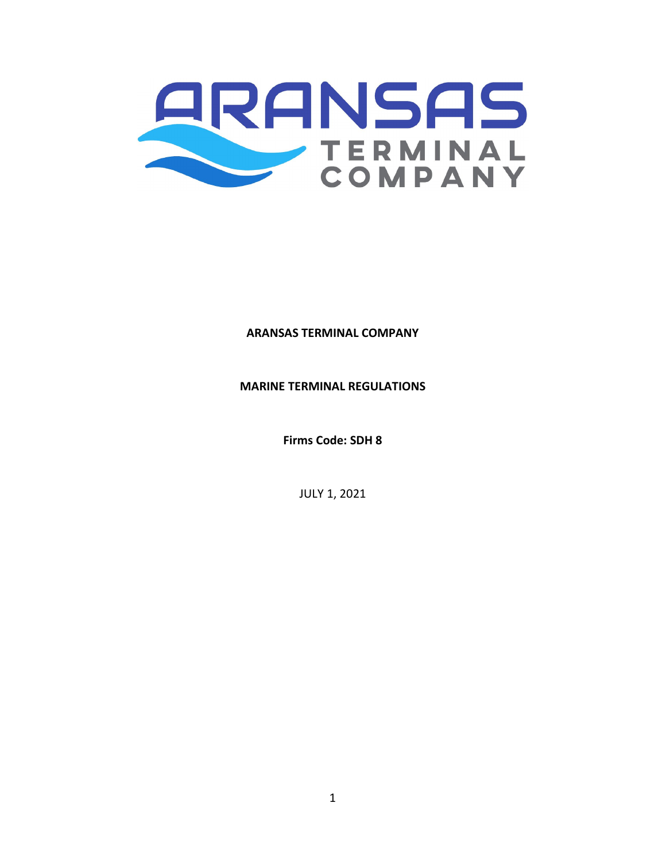

**ARANSAS TERMINAL COMPANY**

**MARINE TERMINAL REGULATIONS**

**Firms Code: SDH 8**

JULY 1, 2021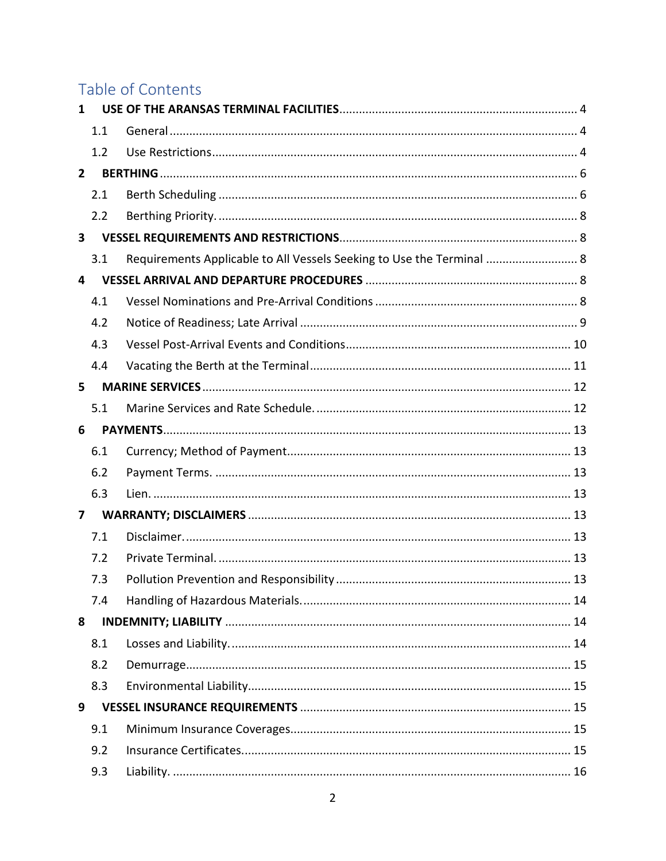# Table of Contents

| 1            |     |                                                                       |
|--------------|-----|-----------------------------------------------------------------------|
|              | 1.1 |                                                                       |
|              | 1.2 |                                                                       |
| $2^{\circ}$  |     |                                                                       |
|              | 2.1 |                                                                       |
|              | 2.2 |                                                                       |
| $\mathbf{3}$ |     |                                                                       |
|              | 3.1 | Requirements Applicable to All Vessels Seeking to Use the Terminal  8 |
| 4            |     |                                                                       |
|              | 4.1 |                                                                       |
|              | 4.2 |                                                                       |
|              | 4.3 |                                                                       |
|              | 4.4 |                                                                       |
| 5            |     |                                                                       |
|              | 5.1 |                                                                       |
| 6            |     |                                                                       |
|              | 6.1 |                                                                       |
|              | 6.2 |                                                                       |
|              | 6.3 |                                                                       |
| 7            |     |                                                                       |
|              | 7.1 |                                                                       |
|              | 7.2 |                                                                       |
|              | 7.3 |                                                                       |
|              | 7.4 |                                                                       |
| 8            |     |                                                                       |
|              | 8.1 |                                                                       |
|              | 8.2 |                                                                       |
|              | 8.3 |                                                                       |
| 9            |     |                                                                       |
|              | 9.1 |                                                                       |
|              | 9.2 |                                                                       |
|              | 9.3 |                                                                       |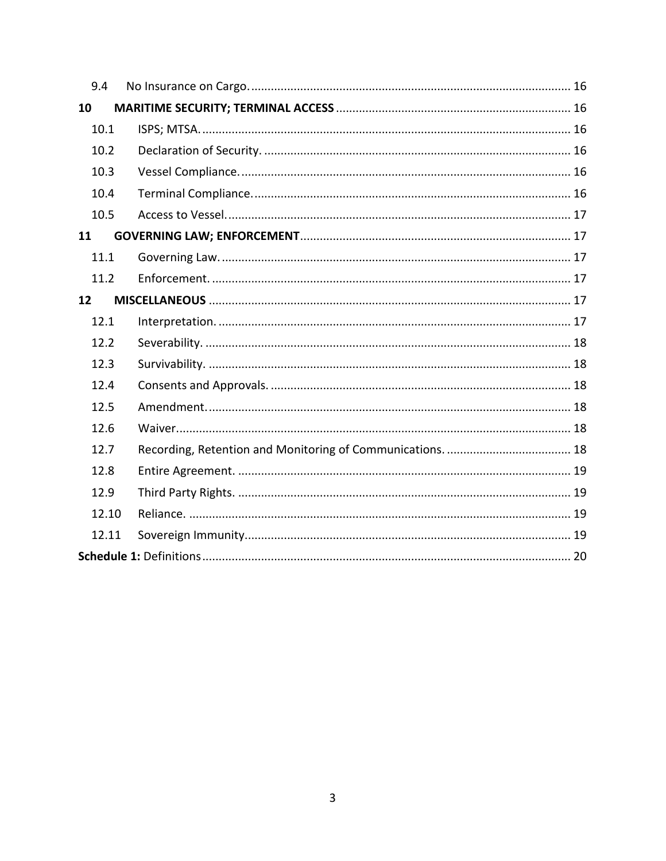| 9.4   |  |  |  |  |
|-------|--|--|--|--|
| 10    |  |  |  |  |
| 10.1  |  |  |  |  |
| 10.2  |  |  |  |  |
| 10.3  |  |  |  |  |
| 10.4  |  |  |  |  |
| 10.5  |  |  |  |  |
| 11    |  |  |  |  |
| 11.1  |  |  |  |  |
| 11.2  |  |  |  |  |
| 12    |  |  |  |  |
| 12.1  |  |  |  |  |
| 12.2  |  |  |  |  |
| 12.3  |  |  |  |  |
| 12.4  |  |  |  |  |
| 12.5  |  |  |  |  |
| 12.6  |  |  |  |  |
| 12.7  |  |  |  |  |
| 12.8  |  |  |  |  |
| 12.9  |  |  |  |  |
| 12.10 |  |  |  |  |
| 12.11 |  |  |  |  |
|       |  |  |  |  |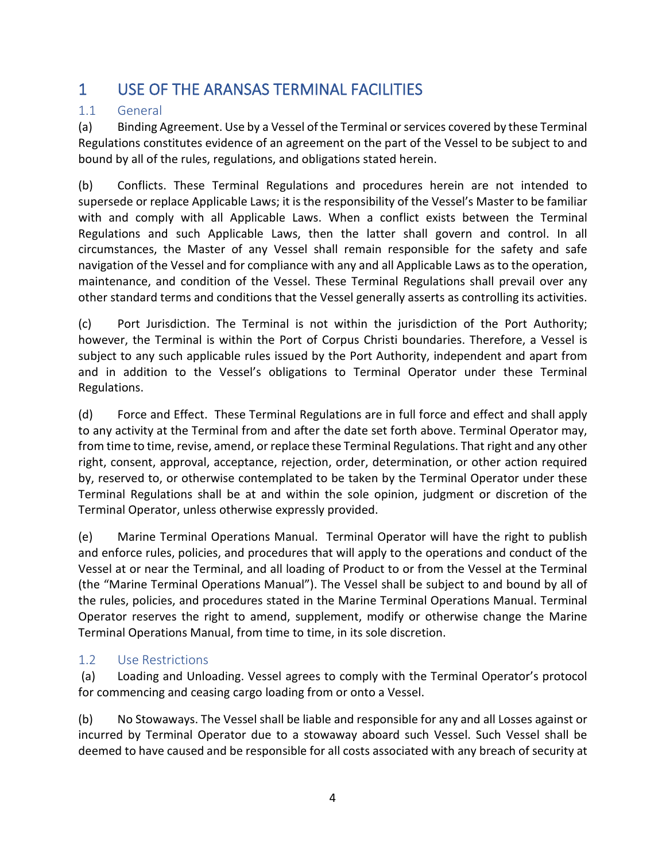## <span id="page-3-0"></span>1 USE OF THE ARANSAS TERMINAL FACILITIES

### <span id="page-3-1"></span>1.1 General

(a) Binding Agreement. Use by a Vessel of the Terminal or services covered by these Terminal Regulations constitutes evidence of an agreement on the part of the Vessel to be subject to and bound by all of the rules, regulations, and obligations stated herein.

(b) Conflicts. These Terminal Regulations and procedures herein are not intended to supersede or replace Applicable Laws; it is the responsibility of the Vessel's Master to be familiar with and comply with all Applicable Laws. When a conflict exists between the Terminal Regulations and such Applicable Laws, then the latter shall govern and control. In all circumstances, the Master of any Vessel shall remain responsible for the safety and safe navigation of the Vessel and for compliance with any and all Applicable Laws as to the operation, maintenance, and condition of the Vessel. These Terminal Regulations shall prevail over any other standard terms and conditions that the Vessel generally asserts as controlling its activities.

(c) Port Jurisdiction. The Terminal is not within the jurisdiction of the Port Authority; however, the Terminal is within the Port of Corpus Christi boundaries. Therefore, a Vessel is subject to any such applicable rules issued by the Port Authority, independent and apart from and in addition to the Vessel's obligations to Terminal Operator under these Terminal Regulations.

(d) Force and Effect. These Terminal Regulations are in full force and effect and shall apply to any activity at the Terminal from and after the date set forth above. Terminal Operator may, from time to time, revise, amend, or replace these Terminal Regulations. That right and any other right, consent, approval, acceptance, rejection, order, determination, or other action required by, reserved to, or otherwise contemplated to be taken by the Terminal Operator under these Terminal Regulations shall be at and within the sole opinion, judgment or discretion of the Terminal Operator, unless otherwise expressly provided.

(e) Marine Terminal Operations Manual. Terminal Operator will have the right to publish and enforce rules, policies, and procedures that will apply to the operations and conduct of the Vessel at or near the Terminal, and all loading of Product to or from the Vessel at the Terminal (the "Marine Terminal Operations Manual"). The Vessel shall be subject to and bound by all of the rules, policies, and procedures stated in the Marine Terminal Operations Manual. Terminal Operator reserves the right to amend, supplement, modify or otherwise change the Marine Terminal Operations Manual, from time to time, in its sole discretion.

### <span id="page-3-2"></span>1.2 Use Restrictions

(a) Loading and Unloading. Vessel agrees to comply with the Terminal Operator's protocol for commencing and ceasing cargo loading from or onto a Vessel.

(b) No Stowaways. The Vessel shall be liable and responsible for any and all Losses against or incurred by Terminal Operator due to a stowaway aboard such Vessel. Such Vessel shall be deemed to have caused and be responsible for all costs associated with any breach of security at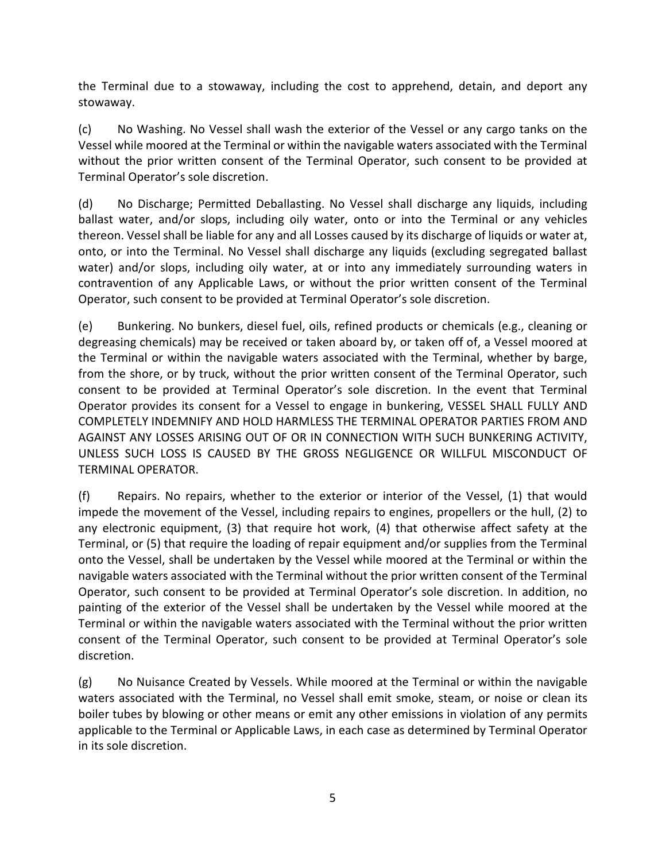the Terminal due to a stowaway, including the cost to apprehend, detain, and deport any stowaway.

(c) No Washing. No Vessel shall wash the exterior of the Vessel or any cargo tanks on the Vessel while moored at the Terminal or within the navigable waters associated with the Terminal without the prior written consent of the Terminal Operator, such consent to be provided at Terminal Operator's sole discretion.

(d) No Discharge; Permitted Deballasting. No Vessel shall discharge any liquids, including ballast water, and/or slops, including oily water, onto or into the Terminal or any vehicles thereon. Vessel shall be liable for any and all Losses caused by its discharge of liquids or water at, onto, or into the Terminal. No Vessel shall discharge any liquids (excluding segregated ballast water) and/or slops, including oily water, at or into any immediately surrounding waters in contravention of any Applicable Laws, or without the prior written consent of the Terminal Operator, such consent to be provided at Terminal Operator's sole discretion.

(e) Bunkering. No bunkers, diesel fuel, oils, refined products or chemicals (e.g., cleaning or degreasing chemicals) may be received or taken aboard by, or taken off of, a Vessel moored at the Terminal or within the navigable waters associated with the Terminal, whether by barge, from the shore, or by truck, without the prior written consent of the Terminal Operator, such consent to be provided at Terminal Operator's sole discretion. In the event that Terminal Operator provides its consent for a Vessel to engage in bunkering, VESSEL SHALL FULLY AND COMPLETELY INDEMNIFY AND HOLD HARMLESS THE TERMINAL OPERATOR PARTIES FROM AND AGAINST ANY LOSSES ARISING OUT OF OR IN CONNECTION WITH SUCH BUNKERING ACTIVITY, UNLESS SUCH LOSS IS CAUSED BY THE GROSS NEGLIGENCE OR WILLFUL MISCONDUCT OF TERMINAL OPERATOR.

(f) Repairs. No repairs, whether to the exterior or interior of the Vessel, (1) that would impede the movement of the Vessel, including repairs to engines, propellers or the hull, (2) to any electronic equipment, (3) that require hot work, (4) that otherwise affect safety at the Terminal, or (5) that require the loading of repair equipment and/or supplies from the Terminal onto the Vessel, shall be undertaken by the Vessel while moored at the Terminal or within the navigable waters associated with the Terminal without the prior written consent of the Terminal Operator, such consent to be provided at Terminal Operator's sole discretion. In addition, no painting of the exterior of the Vessel shall be undertaken by the Vessel while moored at the Terminal or within the navigable waters associated with the Terminal without the prior written consent of the Terminal Operator, such consent to be provided at Terminal Operator's sole discretion.

(g) No Nuisance Created by Vessels. While moored at the Terminal or within the navigable waters associated with the Terminal, no Vessel shall emit smoke, steam, or noise or clean its boiler tubes by blowing or other means or emit any other emissions in violation of any permits applicable to the Terminal or Applicable Laws, in each case as determined by Terminal Operator in its sole discretion.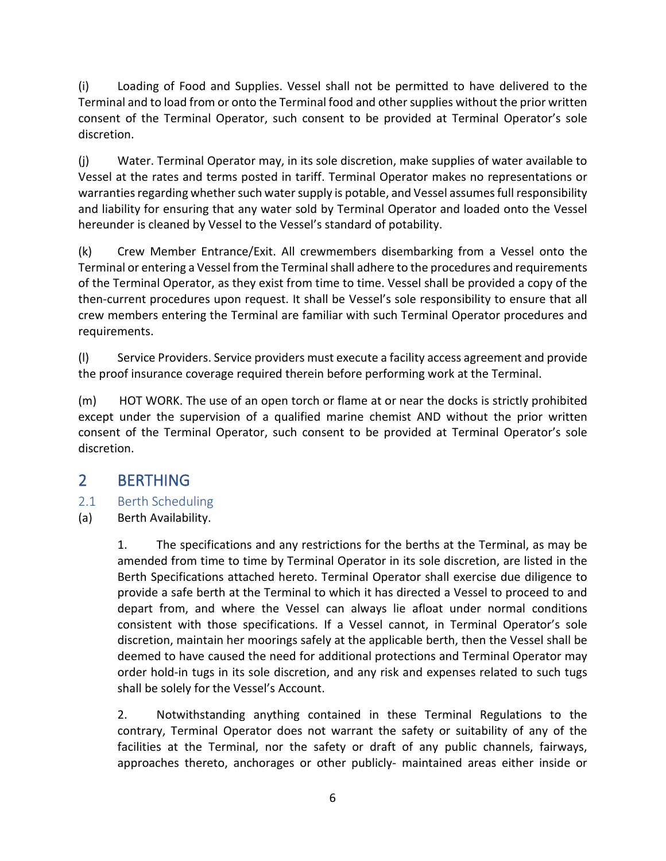(i) Loading of Food and Supplies. Vessel shall not be permitted to have delivered to the Terminal and to load from or onto the Terminal food and other supplies without the prior written consent of the Terminal Operator, such consent to be provided at Terminal Operator's sole discretion.

(j) Water. Terminal Operator may, in its sole discretion, make supplies of water available to Vessel at the rates and terms posted in tariff. Terminal Operator makes no representations or warranties regarding whether such water supply is potable, and Vessel assumes full responsibility and liability for ensuring that any water sold by Terminal Operator and loaded onto the Vessel hereunder is cleaned by Vessel to the Vessel's standard of potability.

(k) Crew Member Entrance/Exit. All crewmembers disembarking from a Vessel onto the Terminal or entering a Vessel from the Terminal shall adhere to the procedures and requirements of the Terminal Operator, as they exist from time to time. Vessel shall be provided a copy of the then-current procedures upon request. It shall be Vessel's sole responsibility to ensure that all crew members entering the Terminal are familiar with such Terminal Operator procedures and requirements.

(l) Service Providers. Service providers must execute a facility access agreement and provide the proof insurance coverage required therein before performing work at the Terminal.

(m) HOT WORK. The use of an open torch or flame at or near the docks is strictly prohibited except under the supervision of a qualified marine chemist AND without the prior written consent of the Terminal Operator, such consent to be provided at Terminal Operator's sole discretion.

## <span id="page-5-0"></span>2 BERTHING

- <span id="page-5-1"></span>2.1 Berth Scheduling
- (a) Berth Availability.

1. The specifications and any restrictions for the berths at the Terminal, as may be amended from time to time by Terminal Operator in its sole discretion, are listed in the Berth Specifications attached hereto. Terminal Operator shall exercise due diligence to provide a safe berth at the Terminal to which it has directed a Vessel to proceed to and depart from, and where the Vessel can always lie afloat under normal conditions consistent with those specifications. If a Vessel cannot, in Terminal Operator's sole discretion, maintain her moorings safely at the applicable berth, then the Vessel shall be deemed to have caused the need for additional protections and Terminal Operator may order hold-in tugs in its sole discretion, and any risk and expenses related to such tugs shall be solely for the Vessel's Account.

2. Notwithstanding anything contained in these Terminal Regulations to the contrary, Terminal Operator does not warrant the safety or suitability of any of the facilities at the Terminal, nor the safety or draft of any public channels, fairways, approaches thereto, anchorages or other publicly- maintained areas either inside or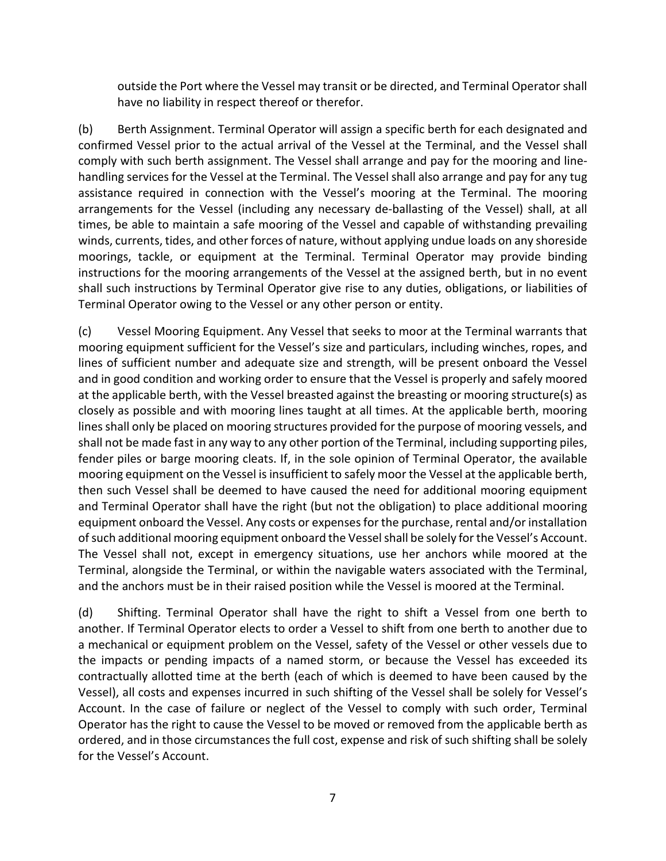outside the Port where the Vessel may transit or be directed, and Terminal Operator shall have no liability in respect thereof or therefor.

(b) Berth Assignment. Terminal Operator will assign a specific berth for each designated and confirmed Vessel prior to the actual arrival of the Vessel at the Terminal, and the Vessel shall comply with such berth assignment. The Vessel shall arrange and pay for the mooring and linehandling services for the Vessel at the Terminal. The Vessel shall also arrange and pay for any tug assistance required in connection with the Vessel's mooring at the Terminal. The mooring arrangements for the Vessel (including any necessary de-ballasting of the Vessel) shall, at all times, be able to maintain a safe mooring of the Vessel and capable of withstanding prevailing winds, currents, tides, and other forces of nature, without applying undue loads on any shoreside moorings, tackle, or equipment at the Terminal. Terminal Operator may provide binding instructions for the mooring arrangements of the Vessel at the assigned berth, but in no event shall such instructions by Terminal Operator give rise to any duties, obligations, or liabilities of Terminal Operator owing to the Vessel or any other person or entity.

(c) Vessel Mooring Equipment. Any Vessel that seeks to moor at the Terminal warrants that mooring equipment sufficient for the Vessel's size and particulars, including winches, ropes, and lines of sufficient number and adequate size and strength, will be present onboard the Vessel and in good condition and working order to ensure that the Vessel is properly and safely moored at the applicable berth, with the Vessel breasted against the breasting or mooring structure(s) as closely as possible and with mooring lines taught at all times. At the applicable berth, mooring lines shall only be placed on mooring structures provided for the purpose of mooring vessels, and shall not be made fast in any way to any other portion of the Terminal, including supporting piles, fender piles or barge mooring cleats. If, in the sole opinion of Terminal Operator, the available mooring equipment on the Vessel is insufficient to safely moor the Vessel at the applicable berth, then such Vessel shall be deemed to have caused the need for additional mooring equipment and Terminal Operator shall have the right (but not the obligation) to place additional mooring equipment onboard the Vessel. Any costs or expenses for the purchase, rental and/or installation of such additional mooring equipment onboard the Vessel shall be solely for the Vessel's Account. The Vessel shall not, except in emergency situations, use her anchors while moored at the Terminal, alongside the Terminal, or within the navigable waters associated with the Terminal, and the anchors must be in their raised position while the Vessel is moored at the Terminal.

(d) Shifting. Terminal Operator shall have the right to shift a Vessel from one berth to another. If Terminal Operator elects to order a Vessel to shift from one berth to another due to a mechanical or equipment problem on the Vessel, safety of the Vessel or other vessels due to the impacts or pending impacts of a named storm, or because the Vessel has exceeded its contractually allotted time at the berth (each of which is deemed to have been caused by the Vessel), all costs and expenses incurred in such shifting of the Vessel shall be solely for Vessel's Account. In the case of failure or neglect of the Vessel to comply with such order, Terminal Operator has the right to cause the Vessel to be moved or removed from the applicable berth as ordered, and in those circumstances the full cost, expense and risk of such shifting shall be solely for the Vessel's Account.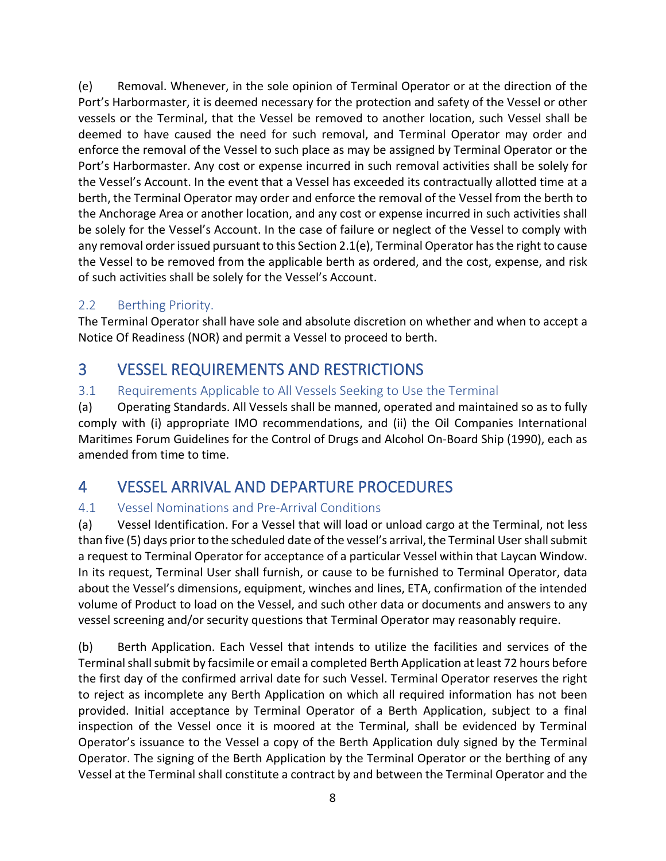(e) Removal. Whenever, in the sole opinion of Terminal Operator or at the direction of the Port's Harbormaster, it is deemed necessary for the protection and safety of the Vessel or other vessels or the Terminal, that the Vessel be removed to another location, such Vessel shall be deemed to have caused the need for such removal, and Terminal Operator may order and enforce the removal of the Vessel to such place as may be assigned by Terminal Operator or the Port's Harbormaster. Any cost or expense incurred in such removal activities shall be solely for the Vessel's Account. In the event that a Vessel has exceeded its contractually allotted time at a berth, the Terminal Operator may order and enforce the removal of the Vessel from the berth to the Anchorage Area or another location, and any cost or expense incurred in such activities shall be solely for the Vessel's Account. In the case of failure or neglect of the Vessel to comply with any removal order issued pursuant to this Section 2.1(e), Terminal Operator has the right to cause the Vessel to be removed from the applicable berth as ordered, and the cost, expense, and risk of such activities shall be solely for the Vessel's Account.

### <span id="page-7-0"></span>2.2 Berthing Priority.

The Terminal Operator shall have sole and absolute discretion on whether and when to accept a Notice Of Readiness (NOR) and permit a Vessel to proceed to berth.

## <span id="page-7-1"></span>3 VESSEL REQUIREMENTS AND RESTRICTIONS

### <span id="page-7-2"></span>3.1 Requirements Applicable to All Vessels Seeking to Use the Terminal

(a) Operating Standards. All Vessels shall be manned, operated and maintained so as to fully comply with (i) appropriate IMO recommendations, and (ii) the Oil Companies International Maritimes Forum Guidelines for the Control of Drugs and Alcohol On-Board Ship (1990), each as amended from time to time.

## <span id="page-7-3"></span>4 VESSEL ARRIVAL AND DEPARTURE PROCEDURES

### <span id="page-7-4"></span>4.1 Vessel Nominations and Pre-Arrival Conditions

(a) Vessel Identification. For a Vessel that will load or unload cargo at the Terminal, not less than five (5) days prior to the scheduled date of the vessel's arrival, the Terminal User shall submit a request to Terminal Operator for acceptance of a particular Vessel within that Laycan Window. In its request, Terminal User shall furnish, or cause to be furnished to Terminal Operator, data about the Vessel's dimensions, equipment, winches and lines, ETA, confirmation of the intended volume of Product to load on the Vessel, and such other data or documents and answers to any vessel screening and/or security questions that Terminal Operator may reasonably require.

(b) Berth Application. Each Vessel that intends to utilize the facilities and services of the Terminal shall submit by facsimile or email a completed Berth Application at least 72 hours before the first day of the confirmed arrival date for such Vessel. Terminal Operator reserves the right to reject as incomplete any Berth Application on which all required information has not been provided. Initial acceptance by Terminal Operator of a Berth Application, subject to a final inspection of the Vessel once it is moored at the Terminal, shall be evidenced by Terminal Operator's issuance to the Vessel a copy of the Berth Application duly signed by the Terminal Operator. The signing of the Berth Application by the Terminal Operator or the berthing of any Vessel at the Terminal shall constitute a contract by and between the Terminal Operator and the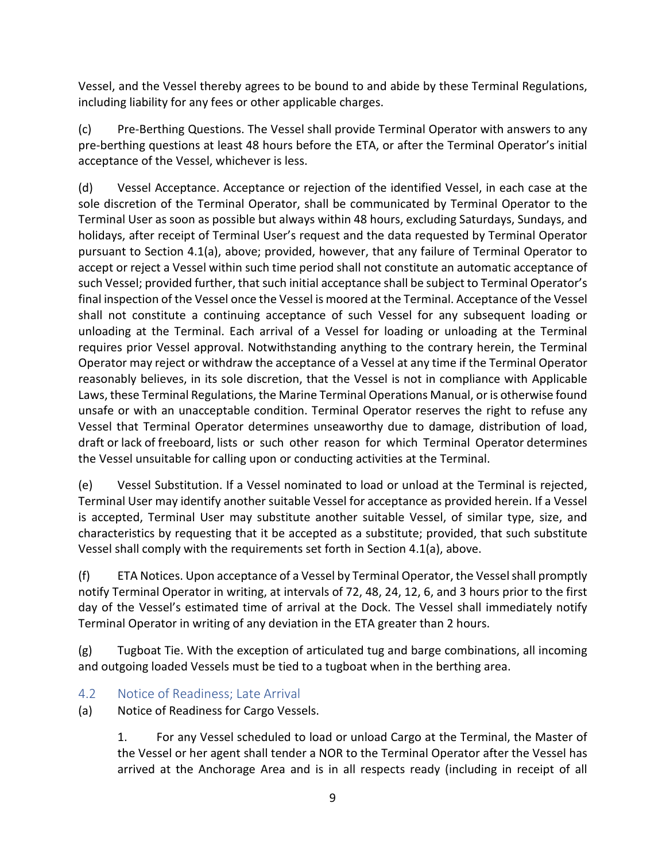Vessel, and the Vessel thereby agrees to be bound to and abide by these Terminal Regulations, including liability for any fees or other applicable charges.

(c) Pre-Berthing Questions. The Vessel shall provide Terminal Operator with answers to any pre-berthing questions at least 48 hours before the ETA, or after the Terminal Operator's initial acceptance of the Vessel, whichever is less.

(d) Vessel Acceptance. Acceptance or rejection of the identified Vessel, in each case at the sole discretion of the Terminal Operator, shall be communicated by Terminal Operator to the Terminal User as soon as possible but always within 48 hours, excluding Saturdays, Sundays, and holidays, after receipt of Terminal User's request and the data requested by Terminal Operator pursuant to Section 4.1(a), above; provided, however, that any failure of Terminal Operator to accept or reject a Vessel within such time period shall not constitute an automatic acceptance of such Vessel; provided further, that such initial acceptance shall be subject to Terminal Operator's final inspection of the Vessel once the Vessel is moored at the Terminal. Acceptance of the Vessel shall not constitute a continuing acceptance of such Vessel for any subsequent loading or unloading at the Terminal. Each arrival of a Vessel for loading or unloading at the Terminal requires prior Vessel approval. Notwithstanding anything to the contrary herein, the Terminal Operator may reject or withdraw the acceptance of a Vessel at any time if the Terminal Operator reasonably believes, in its sole discretion, that the Vessel is not in compliance with Applicable Laws, these Terminal Regulations, the Marine Terminal Operations Manual, or is otherwise found unsafe or with an unacceptable condition. Terminal Operator reserves the right to refuse any Vessel that Terminal Operator determines unseaworthy due to damage, distribution of load, draft or lack of freeboard, lists or such other reason for which Terminal Operator determines the Vessel unsuitable for calling upon or conducting activities at the Terminal.

(e) Vessel Substitution. If a Vessel nominated to load or unload at the Terminal is rejected, Terminal User may identify another suitable Vessel for acceptance as provided herein. If a Vessel is accepted, Terminal User may substitute another suitable Vessel, of similar type, size, and characteristics by requesting that it be accepted as a substitute; provided, that such substitute Vessel shall comply with the requirements set forth in Section 4.1(a), above.

(f) ETA Notices. Upon acceptance of a Vessel by Terminal Operator, the Vessel shall promptly notify Terminal Operator in writing, at intervals of 72, 48, 24, 12, 6, and 3 hours prior to the first day of the Vessel's estimated time of arrival at the Dock. The Vessel shall immediately notify Terminal Operator in writing of any deviation in the ETA greater than 2 hours.

(g) Tugboat Tie. With the exception of articulated tug and barge combinations, all incoming and outgoing loaded Vessels must be tied to a tugboat when in the berthing area.

### <span id="page-8-0"></span>4.2 Notice of Readiness; Late Arrival

(a) Notice of Readiness for Cargo Vessels.

1. For any Vessel scheduled to load or unload Cargo at the Terminal, the Master of the Vessel or her agent shall tender a NOR to the Terminal Operator after the Vessel has arrived at the Anchorage Area and is in all respects ready (including in receipt of all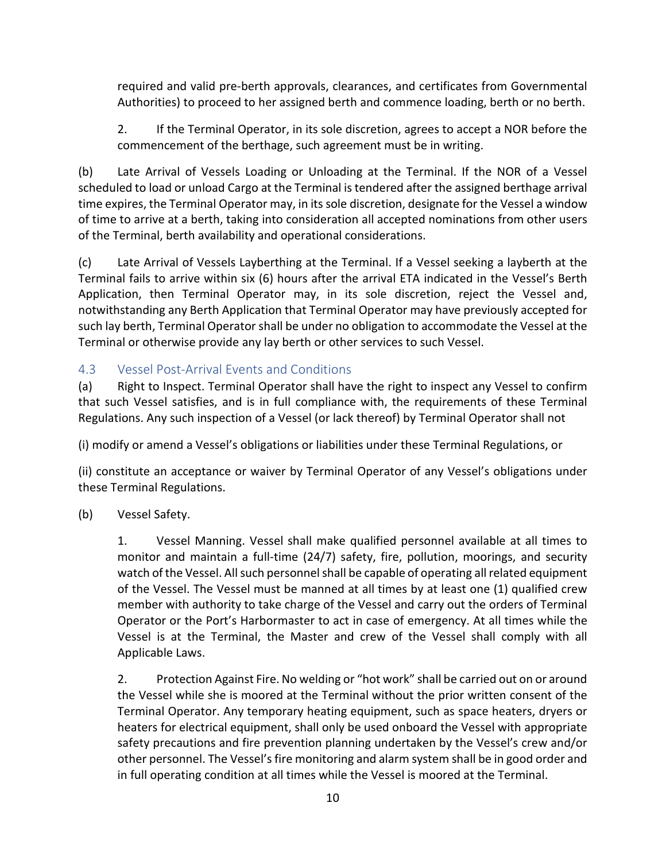required and valid pre-berth approvals, clearances, and certificates from Governmental Authorities) to proceed to her assigned berth and commence loading, berth or no berth.

2. If the Terminal Operator, in its sole discretion, agrees to accept a NOR before the commencement of the berthage, such agreement must be in writing.

(b) Late Arrival of Vessels Loading or Unloading at the Terminal. If the NOR of a Vessel scheduled to load or unload Cargo at the Terminal is tendered after the assigned berthage arrival time expires, the Terminal Operator may, in its sole discretion, designate for the Vessel a window of time to arrive at a berth, taking into consideration all accepted nominations from other users of the Terminal, berth availability and operational considerations.

(c) Late Arrival of Vessels Layberthing at the Terminal. If a Vessel seeking a layberth at the Terminal fails to arrive within six (6) hours after the arrival ETA indicated in the Vessel's Berth Application, then Terminal Operator may, in its sole discretion, reject the Vessel and, notwithstanding any Berth Application that Terminal Operator may have previously accepted for such lay berth, Terminal Operator shall be under no obligation to accommodate the Vessel at the Terminal or otherwise provide any lay berth or other services to such Vessel.

### <span id="page-9-0"></span>4.3 Vessel Post-Arrival Events and Conditions

(a) Right to Inspect. Terminal Operator shall have the right to inspect any Vessel to confirm that such Vessel satisfies, and is in full compliance with, the requirements of these Terminal Regulations. Any such inspection of a Vessel (or lack thereof) by Terminal Operator shall not

(i) modify or amend a Vessel's obligations or liabilities under these Terminal Regulations, or

(ii) constitute an acceptance or waiver by Terminal Operator of any Vessel's obligations under these Terminal Regulations.

(b) Vessel Safety.

1. Vessel Manning. Vessel shall make qualified personnel available at all times to monitor and maintain a full-time (24/7) safety, fire, pollution, moorings, and security watch of the Vessel. All such personnel shall be capable of operating all related equipment of the Vessel. The Vessel must be manned at all times by at least one (1) qualified crew member with authority to take charge of the Vessel and carry out the orders of Terminal Operator or the Port's Harbormaster to act in case of emergency. At all times while the Vessel is at the Terminal, the Master and crew of the Vessel shall comply with all Applicable Laws.

2. Protection Against Fire. No welding or "hot work" shall be carried out on or around the Vessel while she is moored at the Terminal without the prior written consent of the Terminal Operator. Any temporary heating equipment, such as space heaters, dryers or heaters for electrical equipment, shall only be used onboard the Vessel with appropriate safety precautions and fire prevention planning undertaken by the Vessel's crew and/or other personnel. The Vessel's fire monitoring and alarm system shall be in good order and in full operating condition at all times while the Vessel is moored at the Terminal.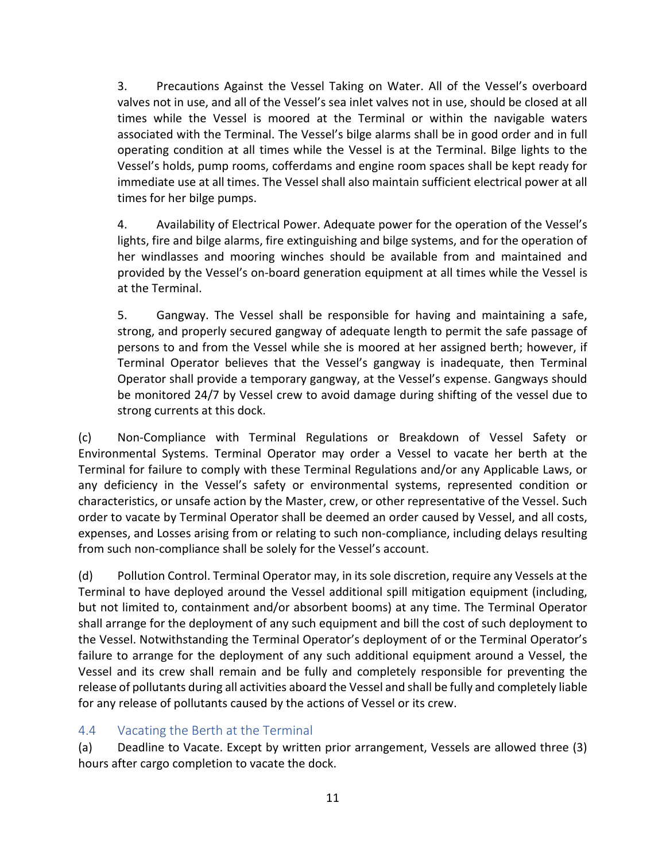3. Precautions Against the Vessel Taking on Water. All of the Vessel's overboard valves not in use, and all of the Vessel's sea inlet valves not in use, should be closed at all times while the Vessel is moored at the Terminal or within the navigable waters associated with the Terminal. The Vessel's bilge alarms shall be in good order and in full operating condition at all times while the Vessel is at the Terminal. Bilge lights to the Vessel's holds, pump rooms, cofferdams and engine room spaces shall be kept ready for immediate use at all times. The Vessel shall also maintain sufficient electrical power at all times for her bilge pumps.

4. Availability of Electrical Power. Adequate power for the operation of the Vessel's lights, fire and bilge alarms, fire extinguishing and bilge systems, and for the operation of her windlasses and mooring winches should be available from and maintained and provided by the Vessel's on-board generation equipment at all times while the Vessel is at the Terminal.

5. Gangway. The Vessel shall be responsible for having and maintaining a safe, strong, and properly secured gangway of adequate length to permit the safe passage of persons to and from the Vessel while she is moored at her assigned berth; however, if Terminal Operator believes that the Vessel's gangway is inadequate, then Terminal Operator shall provide a temporary gangway, at the Vessel's expense. Gangways should be monitored 24/7 by Vessel crew to avoid damage during shifting of the vessel due to strong currents at this dock.

(c) Non-Compliance with Terminal Regulations or Breakdown of Vessel Safety or Environmental Systems. Terminal Operator may order a Vessel to vacate her berth at the Terminal for failure to comply with these Terminal Regulations and/or any Applicable Laws, or any deficiency in the Vessel's safety or environmental systems, represented condition or characteristics, or unsafe action by the Master, crew, or other representative of the Vessel. Such order to vacate by Terminal Operator shall be deemed an order caused by Vessel, and all costs, expenses, and Losses arising from or relating to such non-compliance, including delays resulting from such non-compliance shall be solely for the Vessel's account.

(d) Pollution Control. Terminal Operator may, in its sole discretion, require any Vessels at the Terminal to have deployed around the Vessel additional spill mitigation equipment (including, but not limited to, containment and/or absorbent booms) at any time. The Terminal Operator shall arrange for the deployment of any such equipment and bill the cost of such deployment to the Vessel. Notwithstanding the Terminal Operator's deployment of or the Terminal Operator's failure to arrange for the deployment of any such additional equipment around a Vessel, the Vessel and its crew shall remain and be fully and completely responsible for preventing the release of pollutants during all activities aboard the Vessel and shall be fully and completely liable for any release of pollutants caused by the actions of Vessel or its crew.

### <span id="page-10-0"></span>4.4 Vacating the Berth at the Terminal

(a) Deadline to Vacate. Except by written prior arrangement, Vessels are allowed three (3) hours after cargo completion to vacate the dock.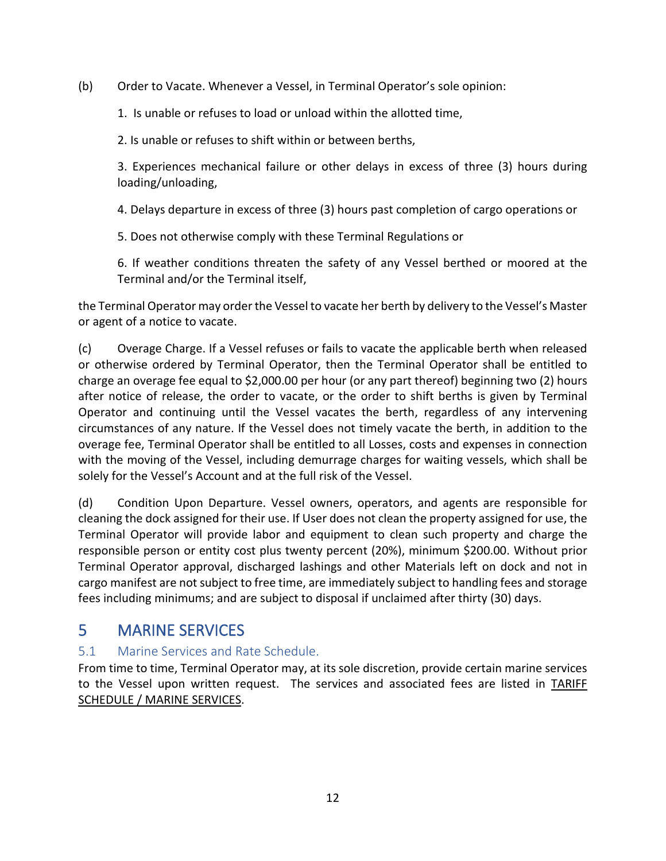(b) Order to Vacate. Whenever a Vessel, in Terminal Operator's sole opinion:

1. Is unable or refuses to load or unload within the allotted time,

2. Is unable or refuses to shift within or between berths,

3. Experiences mechanical failure or other delays in excess of three (3) hours during loading/unloading,

4. Delays departure in excess of three (3) hours past completion of cargo operations or

5. Does not otherwise comply with these Terminal Regulations or

6. If weather conditions threaten the safety of any Vessel berthed or moored at the Terminal and/or the Terminal itself,

the Terminal Operator may order the Vessel to vacate her berth by delivery to the Vessel's Master or agent of a notice to vacate.

(c) Overage Charge. If a Vessel refuses or fails to vacate the applicable berth when released or otherwise ordered by Terminal Operator, then the Terminal Operator shall be entitled to charge an overage fee equal to \$2,000.00 per hour (or any part thereof) beginning two (2) hours after notice of release, the order to vacate, or the order to shift berths is given by Terminal Operator and continuing until the Vessel vacates the berth, regardless of any intervening circumstances of any nature. If the Vessel does not timely vacate the berth, in addition to the overage fee, Terminal Operator shall be entitled to all Losses, costs and expenses in connection with the moving of the Vessel, including demurrage charges for waiting vessels, which shall be solely for the Vessel's Account and at the full risk of the Vessel.

(d) Condition Upon Departure. Vessel owners, operators, and agents are responsible for cleaning the dock assigned for their use. If User does not clean the property assigned for use, the Terminal Operator will provide labor and equipment to clean such property and charge the responsible person or entity cost plus twenty percent (20%), minimum \$200.00. Without prior Terminal Operator approval, discharged lashings and other Materials left on dock and not in cargo manifest are not subject to free time, are immediately subject to handling fees and storage fees including minimums; and are subject to disposal if unclaimed after thirty (30) days.

## <span id="page-11-0"></span>5 MARINE SERVICES

### <span id="page-11-1"></span>5.1 Marine Services and Rate Schedule.

From time to time, Terminal Operator may, at its sole discretion, provide certain marine services to the Vessel upon written request. The services and associated fees are listed in TARIFF SCHEDULE / MARINE SERVICES.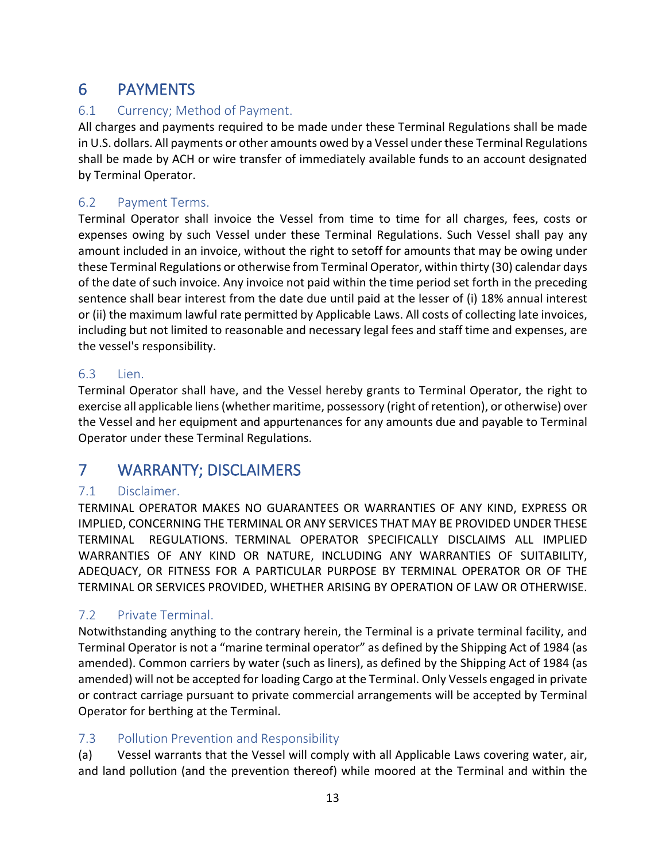## <span id="page-12-0"></span>6 PAYMENTS

### <span id="page-12-1"></span>6.1 Currency; Method of Payment.

All charges and payments required to be made under these Terminal Regulations shall be made in U.S. dollars. All payments or other amounts owed by a Vessel under these Terminal Regulations shall be made by ACH or wire transfer of immediately available funds to an account designated by Terminal Operator.

### <span id="page-12-2"></span>6.2 Payment Terms.

Terminal Operator shall invoice the Vessel from time to time for all charges, fees, costs or expenses owing by such Vessel under these Terminal Regulations. Such Vessel shall pay any amount included in an invoice, without the right to setoff for amounts that may be owing under these Terminal Regulations or otherwise from Terminal Operator, within thirty (30) calendar days of the date of such invoice. Any invoice not paid within the time period set forth in the preceding sentence shall bear interest from the date due until paid at the lesser of (i) 18% annual interest or (ii) the maximum lawful rate permitted by Applicable Laws. All costs of collecting late invoices, including but not limited to reasonable and necessary legal fees and staff time and expenses, are the vessel's responsibility.

#### <span id="page-12-3"></span>6.3 Lien.

Terminal Operator shall have, and the Vessel hereby grants to Terminal Operator, the right to exercise all applicable liens (whether maritime, possessory (right of retention), or otherwise) over the Vessel and her equipment and appurtenances for any amounts due and payable to Terminal Operator under these Terminal Regulations.

## <span id="page-12-4"></span>7 WARRANTY; DISCLAIMERS

### <span id="page-12-5"></span>7.1 Disclaimer.

TERMINAL OPERATOR MAKES NO GUARANTEES OR WARRANTIES OF ANY KIND, EXPRESS OR IMPLIED, CONCERNING THE TERMINAL OR ANY SERVICES THAT MAY BE PROVIDED UNDER THESE TERMINAL REGULATIONS. TERMINAL OPERATOR SPECIFICALLY DISCLAIMS ALL IMPLIED WARRANTIES OF ANY KIND OR NATURE, INCLUDING ANY WARRANTIES OF SUITABILITY, ADEQUACY, OR FITNESS FOR A PARTICULAR PURPOSE BY TERMINAL OPERATOR OR OF THE TERMINAL OR SERVICES PROVIDED, WHETHER ARISING BY OPERATION OF LAW OR OTHERWISE.

### <span id="page-12-6"></span>7.2 Private Terminal.

Notwithstanding anything to the contrary herein, the Terminal is a private terminal facility, and Terminal Operator is not a "marine terminal operator" as defined by the Shipping Act of 1984 (as amended). Common carriers by water (such as liners), as defined by the Shipping Act of 1984 (as amended) will not be accepted for loading Cargo at the Terminal. Only Vessels engaged in private or contract carriage pursuant to private commercial arrangements will be accepted by Terminal Operator for berthing at the Terminal.

### <span id="page-12-7"></span>7.3 Pollution Prevention and Responsibility

(a) Vessel warrants that the Vessel will comply with all Applicable Laws covering water, air, and land pollution (and the prevention thereof) while moored at the Terminal and within the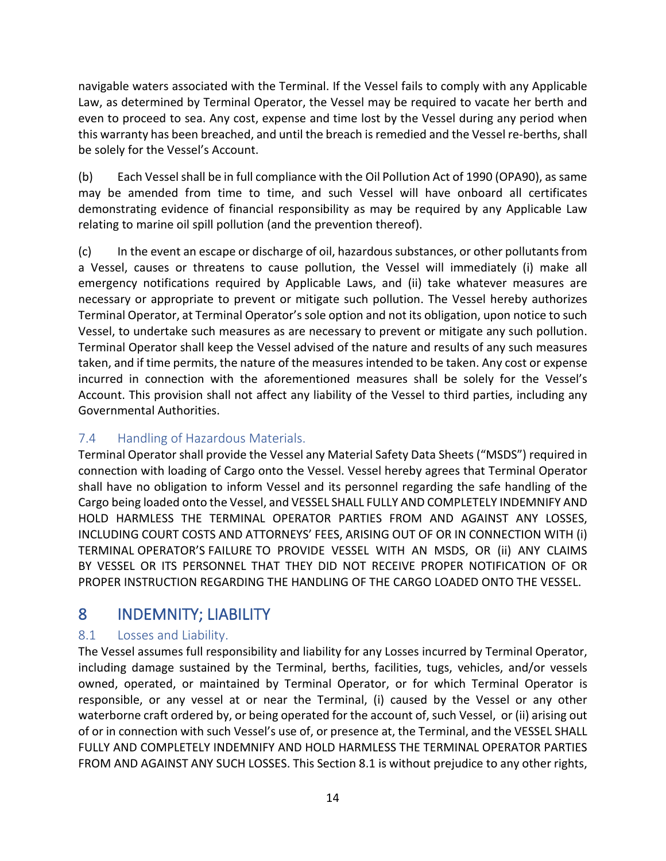navigable waters associated with the Terminal. If the Vessel fails to comply with any Applicable Law, as determined by Terminal Operator, the Vessel may be required to vacate her berth and even to proceed to sea. Any cost, expense and time lost by the Vessel during any period when this warranty has been breached, and until the breach is remedied and the Vessel re-berths, shall be solely for the Vessel's Account.

(b) Each Vessel shall be in full compliance with the Oil Pollution Act of 1990 (OPA90), as same may be amended from time to time, and such Vessel will have onboard all certificates demonstrating evidence of financial responsibility as may be required by any Applicable Law relating to marine oil spill pollution (and the prevention thereof).

(c) In the event an escape or discharge of oil, hazardous substances, or other pollutants from a Vessel, causes or threatens to cause pollution, the Vessel will immediately (i) make all emergency notifications required by Applicable Laws, and (ii) take whatever measures are necessary or appropriate to prevent or mitigate such pollution. The Vessel hereby authorizes Terminal Operator, at Terminal Operator's sole option and not its obligation, upon notice to such Vessel, to undertake such measures as are necessary to prevent or mitigate any such pollution. Terminal Operator shall keep the Vessel advised of the nature and results of any such measures taken, and if time permits, the nature of the measures intended to be taken. Any cost or expense incurred in connection with the aforementioned measures shall be solely for the Vessel's Account. This provision shall not affect any liability of the Vessel to third parties, including any Governmental Authorities.

### <span id="page-13-0"></span>7.4 Handling of Hazardous Materials.

Terminal Operator shall provide the Vessel any Material Safety Data Sheets ("MSDS") required in connection with loading of Cargo onto the Vessel. Vessel hereby agrees that Terminal Operator shall have no obligation to inform Vessel and its personnel regarding the safe handling of the Cargo being loaded onto the Vessel, and VESSEL SHALL FULLY AND COMPLETELY INDEMNIFY AND HOLD HARMLESS THE TERMINAL OPERATOR PARTIES FROM AND AGAINST ANY LOSSES, INCLUDING COURT COSTS AND ATTORNEYS' FEES, ARISING OUT OF OR IN CONNECTION WITH (i) TERMINAL OPERATOR'S FAILURE TO PROVIDE VESSEL WITH AN MSDS, OR (ii) ANY CLAIMS BY VESSEL OR ITS PERSONNEL THAT THEY DID NOT RECEIVE PROPER NOTIFICATION OF OR PROPER INSTRUCTION REGARDING THE HANDLING OF THE CARGO LOADED ONTO THE VESSEL.

## <span id="page-13-1"></span>8 INDEMNITY; LIABILITY

### <span id="page-13-2"></span>8.1 Losses and Liability.

The Vessel assumes full responsibility and liability for any Losses incurred by Terminal Operator, including damage sustained by the Terminal, berths, facilities, tugs, vehicles, and/or vessels owned, operated, or maintained by Terminal Operator, or for which Terminal Operator is responsible, or any vessel at or near the Terminal, (i) caused by the Vessel or any other waterborne craft ordered by, or being operated for the account of, such Vessel, or (ii) arising out of or in connection with such Vessel's use of, or presence at, the Terminal, and the VESSEL SHALL FULLY AND COMPLETELY INDEMNIFY AND HOLD HARMLESS THE TERMINAL OPERATOR PARTIES FROM AND AGAINST ANY SUCH LOSSES. This Section 8.1 is without prejudice to any other rights,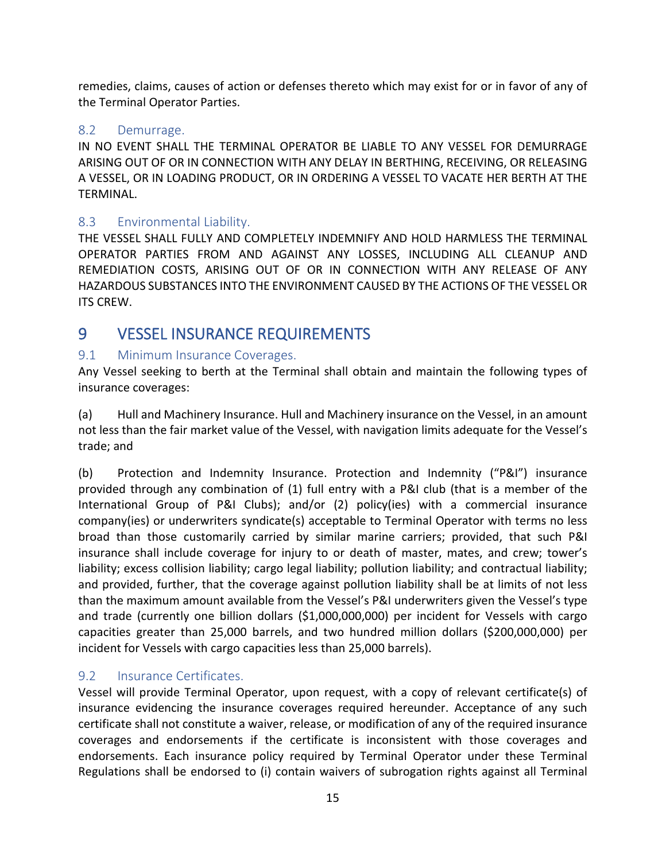remedies, claims, causes of action or defenses thereto which may exist for or in favor of any of the Terminal Operator Parties.

#### <span id="page-14-0"></span>8.2 Demurrage.

IN NO EVENT SHALL THE TERMINAL OPERATOR BE LIABLE TO ANY VESSEL FOR DEMURRAGE ARISING OUT OF OR IN CONNECTION WITH ANY DELAY IN BERTHING, RECEIVING, OR RELEASING A VESSEL, OR IN LOADING PRODUCT, OR IN ORDERING A VESSEL TO VACATE HER BERTH AT THE TERMINAL.

### <span id="page-14-1"></span>8.3 Environmental Liability.

THE VESSEL SHALL FULLY AND COMPLETELY INDEMNIFY AND HOLD HARMLESS THE TERMINAL OPERATOR PARTIES FROM AND AGAINST ANY LOSSES, INCLUDING ALL CLEANUP AND REMEDIATION COSTS, ARISING OUT OF OR IN CONNECTION WITH ANY RELEASE OF ANY HAZARDOUS SUBSTANCES INTO THE ENVIRONMENT CAUSED BY THE ACTIONS OF THE VESSEL OR ITS CREW.

## <span id="page-14-2"></span>9 VESSEL INSURANCE REQUIREMENTS

#### <span id="page-14-3"></span>9.1 Minimum Insurance Coverages.

Any Vessel seeking to berth at the Terminal shall obtain and maintain the following types of insurance coverages:

(a) Hull and Machinery Insurance. Hull and Machinery insurance on the Vessel, in an amount not less than the fair market value of the Vessel, with navigation limits adequate for the Vessel's trade; and

(b) Protection and Indemnity Insurance. Protection and Indemnity ("P&I") insurance provided through any combination of (1) full entry with a P&I club (that is a member of the International Group of P&I Clubs); and/or (2) policy(ies) with a commercial insurance company(ies) or underwriters syndicate(s) acceptable to Terminal Operator with terms no less broad than those customarily carried by similar marine carriers; provided, that such P&I insurance shall include coverage for injury to or death of master, mates, and crew; tower's liability; excess collision liability; cargo legal liability; pollution liability; and contractual liability; and provided, further, that the coverage against pollution liability shall be at limits of not less than the maximum amount available from the Vessel's P&I underwriters given the Vessel's type and trade (currently one billion dollars (\$1,000,000,000) per incident for Vessels with cargo capacities greater than 25,000 barrels, and two hundred million dollars (\$200,000,000) per incident for Vessels with cargo capacities less than 25,000 barrels).

### <span id="page-14-4"></span>9.2 Insurance Certificates.

Vessel will provide Terminal Operator, upon request, with a copy of relevant certificate(s) of insurance evidencing the insurance coverages required hereunder. Acceptance of any such certificate shall not constitute a waiver, release, or modification of any of the required insurance coverages and endorsements if the certificate is inconsistent with those coverages and endorsements. Each insurance policy required by Terminal Operator under these Terminal Regulations shall be endorsed to (i) contain waivers of subrogation rights against all Terminal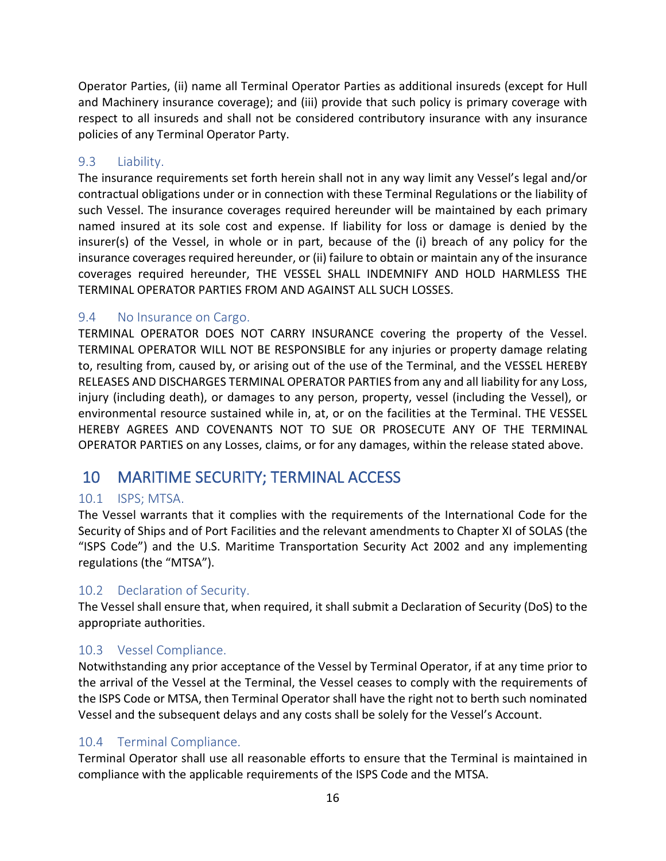Operator Parties, (ii) name all Terminal Operator Parties as additional insureds (except for Hull and Machinery insurance coverage); and (iii) provide that such policy is primary coverage with respect to all insureds and shall not be considered contributory insurance with any insurance policies of any Terminal Operator Party.

### <span id="page-15-0"></span>9.3 Liability.

The insurance requirements set forth herein shall not in any way limit any Vessel's legal and/or contractual obligations under or in connection with these Terminal Regulations or the liability of such Vessel. The insurance coverages required hereunder will be maintained by each primary named insured at its sole cost and expense. If liability for loss or damage is denied by the insurer(s) of the Vessel, in whole or in part, because of the (i) breach of any policy for the insurance coverages required hereunder, or (ii) failure to obtain or maintain any of the insurance coverages required hereunder, THE VESSEL SHALL INDEMNIFY AND HOLD HARMLESS THE TERMINAL OPERATOR PARTIES FROM AND AGAINST ALL SUCH LOSSES.

#### <span id="page-15-1"></span>9.4 No Insurance on Cargo.

TERMINAL OPERATOR DOES NOT CARRY INSURANCE covering the property of the Vessel. TERMINAL OPERATOR WILL NOT BE RESPONSIBLE for any injuries or property damage relating to, resulting from, caused by, or arising out of the use of the Terminal, and the VESSEL HEREBY RELEASES AND DISCHARGES TERMINAL OPERATOR PARTIES from any and all liability for any Loss, injury (including death), or damages to any person, property, vessel (including the Vessel), or environmental resource sustained while in, at, or on the facilities at the Terminal. THE VESSEL HEREBY AGREES AND COVENANTS NOT TO SUE OR PROSECUTE ANY OF THE TERMINAL OPERATOR PARTIES on any Losses, claims, or for any damages, within the release stated above.

## <span id="page-15-2"></span>10 MARITIME SECURITY; TERMINAL ACCESS

### <span id="page-15-3"></span>10.1 ISPS; MTSA.

The Vessel warrants that it complies with the requirements of the International Code for the Security of Ships and of Port Facilities and the relevant amendments to Chapter XI of SOLAS (the "ISPS Code") and the U.S. Maritime Transportation Security Act 2002 and any implementing regulations (the "MTSA").

### <span id="page-15-4"></span>10.2 Declaration of Security.

The Vessel shall ensure that, when required, it shall submit a Declaration of Security (DoS) to the appropriate authorities.

#### <span id="page-15-5"></span>10.3 Vessel Compliance.

Notwithstanding any prior acceptance of the Vessel by Terminal Operator, if at any time prior to the arrival of the Vessel at the Terminal, the Vessel ceases to comply with the requirements of the ISPS Code or MTSA, then Terminal Operator shall have the right not to berth such nominated Vessel and the subsequent delays and any costs shall be solely for the Vessel's Account.

#### <span id="page-15-6"></span>10.4 Terminal Compliance.

Terminal Operator shall use all reasonable efforts to ensure that the Terminal is maintained in compliance with the applicable requirements of the ISPS Code and the MTSA.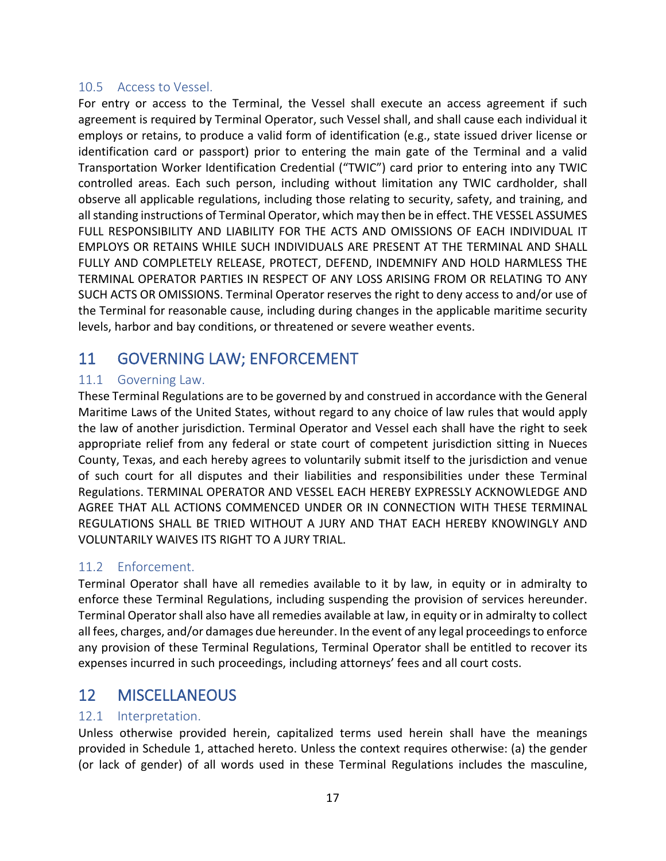#### <span id="page-16-0"></span>10.5 Access to Vessel.

For entry or access to the Terminal, the Vessel shall execute an access agreement if such agreement is required by Terminal Operator, such Vessel shall, and shall cause each individual it employs or retains, to produce a valid form of identification (e.g., state issued driver license or identification card or passport) prior to entering the main gate of the Terminal and a valid Transportation Worker Identification Credential ("TWIC") card prior to entering into any TWIC controlled areas. Each such person, including without limitation any TWIC cardholder, shall observe all applicable regulations, including those relating to security, safety, and training, and all standing instructions of Terminal Operator, which may then be in effect. THE VESSEL ASSUMES FULL RESPONSIBILITY AND LIABILITY FOR THE ACTS AND OMISSIONS OF EACH INDIVIDUAL IT EMPLOYS OR RETAINS WHILE SUCH INDIVIDUALS ARE PRESENT AT THE TERMINAL AND SHALL FULLY AND COMPLETELY RELEASE, PROTECT, DEFEND, INDEMNIFY AND HOLD HARMLESS THE TERMINAL OPERATOR PARTIES IN RESPECT OF ANY LOSS ARISING FROM OR RELATING TO ANY SUCH ACTS OR OMISSIONS. Terminal Operator reserves the right to deny access to and/or use of the Terminal for reasonable cause, including during changes in the applicable maritime security levels, harbor and bay conditions, or threatened or severe weather events.

## <span id="page-16-1"></span>11 GOVERNING LAW; ENFORCEMENT

### <span id="page-16-2"></span>11.1 Governing Law.

These Terminal Regulations are to be governed by and construed in accordance with the General Maritime Laws of the United States, without regard to any choice of law rules that would apply the law of another jurisdiction. Terminal Operator and Vessel each shall have the right to seek appropriate relief from any federal or state court of competent jurisdiction sitting in Nueces County, Texas, and each hereby agrees to voluntarily submit itself to the jurisdiction and venue of such court for all disputes and their liabilities and responsibilities under these Terminal Regulations. TERMINAL OPERATOR AND VESSEL EACH HEREBY EXPRESSLY ACKNOWLEDGE AND AGREE THAT ALL ACTIONS COMMENCED UNDER OR IN CONNECTION WITH THESE TERMINAL REGULATIONS SHALL BE TRIED WITHOUT A JURY AND THAT EACH HEREBY KNOWINGLY AND VOLUNTARILY WAIVES ITS RIGHT TO A JURY TRIAL.

#### <span id="page-16-3"></span>11.2 Enforcement.

Terminal Operator shall have all remedies available to it by law, in equity or in admiralty to enforce these Terminal Regulations, including suspending the provision of services hereunder. Terminal Operator shall also have all remedies available at law, in equity or in admiralty to collect all fees, charges, and/or damages due hereunder. In the event of any legal proceedings to enforce any provision of these Terminal Regulations, Terminal Operator shall be entitled to recover its expenses incurred in such proceedings, including attorneys' fees and all court costs.

## <span id="page-16-4"></span>12 MISCELLANEOUS

#### <span id="page-16-5"></span>12.1 Interpretation.

Unless otherwise provided herein, capitalized terms used herein shall have the meanings provided in Schedule 1, attached hereto. Unless the context requires otherwise: (a) the gender (or lack of gender) of all words used in these Terminal Regulations includes the masculine,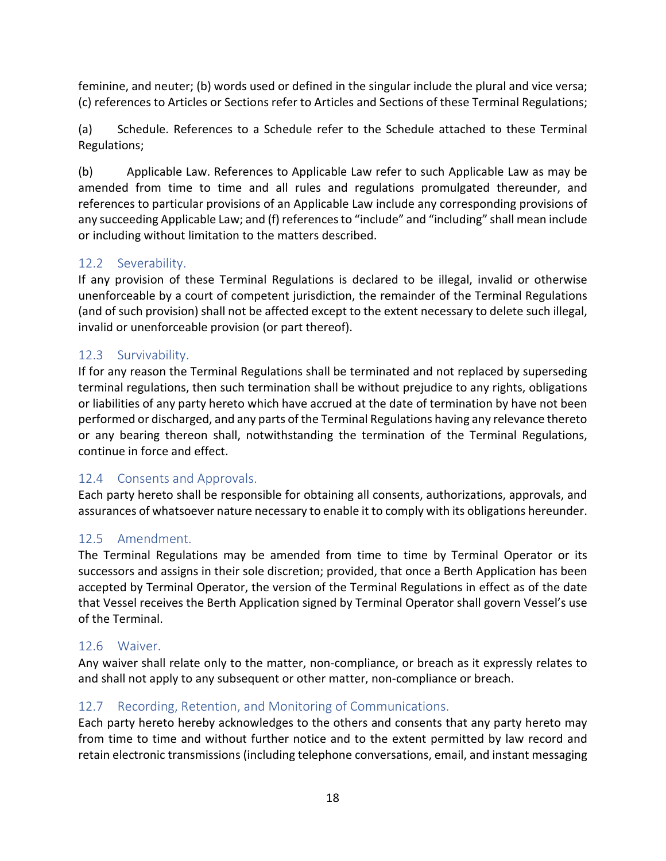feminine, and neuter; (b) words used or defined in the singular include the plural and vice versa; (c) references to Articles or Sections refer to Articles and Sections of these Terminal Regulations;

(a) Schedule. References to a Schedule refer to the Schedule attached to these Terminal Regulations;

(b) Applicable Law. References to Applicable Law refer to such Applicable Law as may be amended from time to time and all rules and regulations promulgated thereunder, and references to particular provisions of an Applicable Law include any corresponding provisions of any succeeding Applicable Law; and (f) references to "include" and "including" shall mean include or including without limitation to the matters described.

### <span id="page-17-0"></span>12.2 Severability.

If any provision of these Terminal Regulations is declared to be illegal, invalid or otherwise unenforceable by a court of competent jurisdiction, the remainder of the Terminal Regulations (and of such provision) shall not be affected except to the extent necessary to delete such illegal, invalid or unenforceable provision (or part thereof).

### <span id="page-17-1"></span>12.3 Survivability.

If for any reason the Terminal Regulations shall be terminated and not replaced by superseding terminal regulations, then such termination shall be without prejudice to any rights, obligations or liabilities of any party hereto which have accrued at the date of termination by have not been performed or discharged, and any parts of the Terminal Regulations having any relevance thereto or any bearing thereon shall, notwithstanding the termination of the Terminal Regulations, continue in force and effect.

### <span id="page-17-2"></span>12.4 Consents and Approvals.

Each party hereto shall be responsible for obtaining all consents, authorizations, approvals, and assurances of whatsoever nature necessary to enable it to comply with its obligations hereunder.

### <span id="page-17-3"></span>12.5 Amendment.

The Terminal Regulations may be amended from time to time by Terminal Operator or its successors and assigns in their sole discretion; provided, that once a Berth Application has been accepted by Terminal Operator, the version of the Terminal Regulations in effect as of the date that Vessel receives the Berth Application signed by Terminal Operator shall govern Vessel's use of the Terminal.

### <span id="page-17-4"></span>12.6 Waiver.

Any waiver shall relate only to the matter, non-compliance, or breach as it expressly relates to and shall not apply to any subsequent or other matter, non-compliance or breach.

### <span id="page-17-5"></span>12.7 Recording, Retention, and Monitoring of Communications.

Each party hereto hereby acknowledges to the others and consents that any party hereto may from time to time and without further notice and to the extent permitted by law record and retain electronic transmissions (including telephone conversations, email, and instant messaging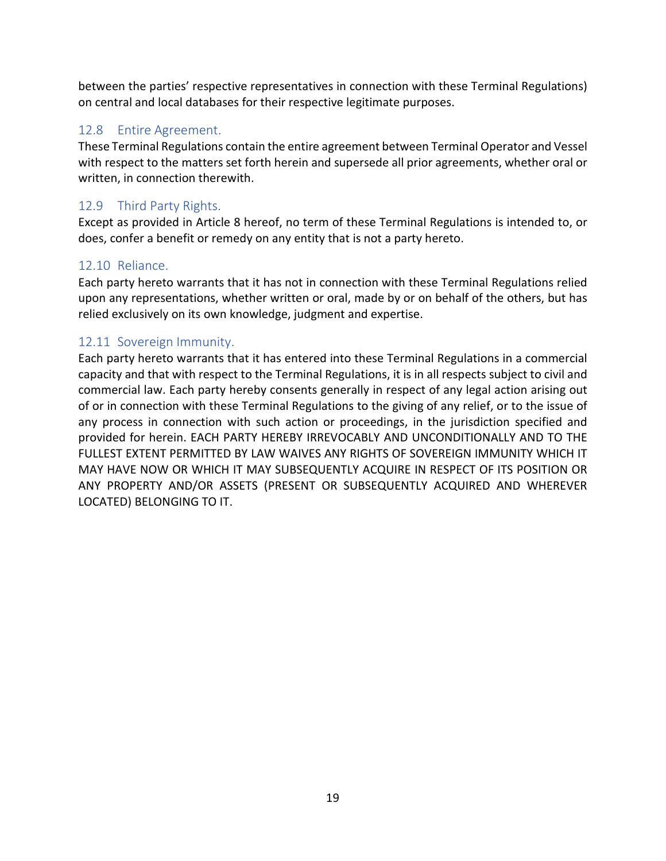between the parties' respective representatives in connection with these Terminal Regulations) on central and local databases for their respective legitimate purposes.

#### <span id="page-18-0"></span>12.8 Entire Agreement.

These Terminal Regulations contain the entire agreement between Terminal Operator and Vessel with respect to the matters set forth herein and supersede all prior agreements, whether oral or written, in connection therewith.

### <span id="page-18-1"></span>12.9 Third Party Rights.

Except as provided in Article 8 hereof, no term of these Terminal Regulations is intended to, or does, confer a benefit or remedy on any entity that is not a party hereto.

#### <span id="page-18-2"></span>12.10 Reliance.

Each party hereto warrants that it has not in connection with these Terminal Regulations relied upon any representations, whether written or oral, made by or on behalf of the others, but has relied exclusively on its own knowledge, judgment and expertise.

#### <span id="page-18-3"></span>12.11 Sovereign Immunity.

Each party hereto warrants that it has entered into these Terminal Regulations in a commercial capacity and that with respect to the Terminal Regulations, it is in all respects subject to civil and commercial law. Each party hereby consents generally in respect of any legal action arising out of or in connection with these Terminal Regulations to the giving of any relief, or to the issue of any process in connection with such action or proceedings, in the jurisdiction specified and provided for herein. EACH PARTY HEREBY IRREVOCABLY AND UNCONDITIONALLY AND TO THE FULLEST EXTENT PERMITTED BY LAW WAIVES ANY RIGHTS OF SOVEREIGN IMMUNITY WHICH IT MAY HAVE NOW OR WHICH IT MAY SUBSEQUENTLY ACQUIRE IN RESPECT OF ITS POSITION OR ANY PROPERTY AND/OR ASSETS (PRESENT OR SUBSEQUENTLY ACQUIRED AND WHEREVER LOCATED) BELONGING TO IT.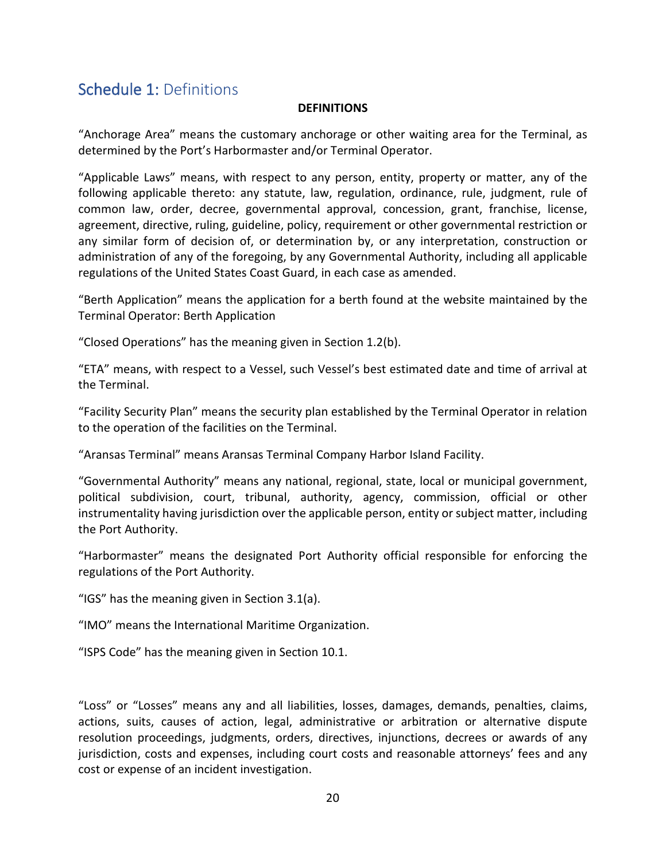## <span id="page-19-0"></span>Schedule 1: Definitions

#### **DEFINITIONS**

"Anchorage Area" means the customary anchorage or other waiting area for the Terminal, as determined by the Port's Harbormaster and/or Terminal Operator.

"Applicable Laws" means, with respect to any person, entity, property or matter, any of the following applicable thereto: any statute, law, regulation, ordinance, rule, judgment, rule of common law, order, decree, governmental approval, concession, grant, franchise, license, agreement, directive, ruling, guideline, policy, requirement or other governmental restriction or any similar form of decision of, or determination by, or any interpretation, construction or administration of any of the foregoing, by any Governmental Authority, including all applicable regulations of the United States Coast Guard, in each case as amended.

"Berth Application" means the application for a berth found at the website maintained by the Terminal Operator: Berth Application

"Closed Operations" has the meaning given in Section 1.2(b).

"ETA" means, with respect to a Vessel, such Vessel's best estimated date and time of arrival at the Terminal.

"Facility Security Plan" means the security plan established by the Terminal Operator in relation to the operation of the facilities on the Terminal.

"Aransas Terminal" means Aransas Terminal Company Harbor Island Facility.

"Governmental Authority" means any national, regional, state, local or municipal government, political subdivision, court, tribunal, authority, agency, commission, official or other instrumentality having jurisdiction over the applicable person, entity or subject matter, including the Port Authority.

"Harbormaster" means the designated Port Authority official responsible for enforcing the regulations of the Port Authority.

"IGS" has the meaning given in Section 3.1(a).

"IMO" means the International Maritime Organization.

"ISPS Code" has the meaning given in Section 10.1.

"Loss" or "Losses" means any and all liabilities, losses, damages, demands, penalties, claims, actions, suits, causes of action, legal, administrative or arbitration or alternative dispute resolution proceedings, judgments, orders, directives, injunctions, decrees or awards of any jurisdiction, costs and expenses, including court costs and reasonable attorneys' fees and any cost or expense of an incident investigation.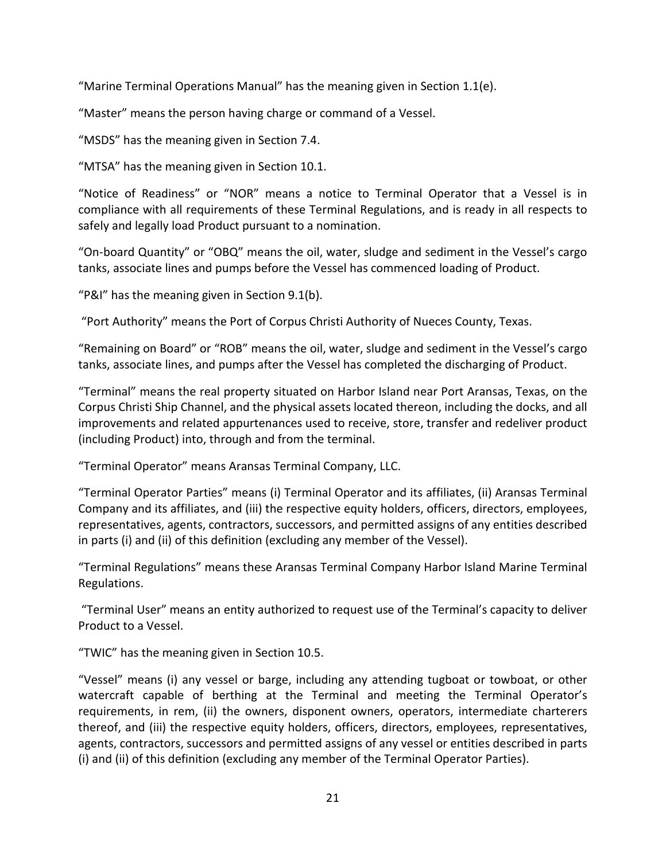"Marine Terminal Operations Manual" has the meaning given in Section 1.1(e).

"Master" means the person having charge or command of a Vessel.

"MSDS" has the meaning given in Section 7.4.

"MTSA" has the meaning given in Section 10.1.

"Notice of Readiness" or "NOR" means a notice to Terminal Operator that a Vessel is in compliance with all requirements of these Terminal Regulations, and is ready in all respects to safely and legally load Product pursuant to a nomination.

"On-board Quantity" or "OBQ" means the oil, water, sludge and sediment in the Vessel's cargo tanks, associate lines and pumps before the Vessel has commenced loading of Product.

"P&I" has the meaning given in Section 9.1(b).

"Port Authority" means the Port of Corpus Christi Authority of Nueces County, Texas.

"Remaining on Board" or "ROB" means the oil, water, sludge and sediment in the Vessel's cargo tanks, associate lines, and pumps after the Vessel has completed the discharging of Product.

"Terminal" means the real property situated on Harbor Island near Port Aransas, Texas, on the Corpus Christi Ship Channel, and the physical assets located thereon, including the docks, and all improvements and related appurtenances used to receive, store, transfer and redeliver product (including Product) into, through and from the terminal.

"Terminal Operator" means Aransas Terminal Company, LLC.

"Terminal Operator Parties" means (i) Terminal Operator and its affiliates, (ii) Aransas Terminal Company and its affiliates, and (iii) the respective equity holders, officers, directors, employees, representatives, agents, contractors, successors, and permitted assigns of any entities described in parts (i) and (ii) of this definition (excluding any member of the Vessel).

"Terminal Regulations" means these Aransas Terminal Company Harbor Island Marine Terminal Regulations.

"Terminal User" means an entity authorized to request use of the Terminal's capacity to deliver Product to a Vessel.

"TWIC" has the meaning given in Section 10.5.

"Vessel" means (i) any vessel or barge, including any attending tugboat or towboat, or other watercraft capable of berthing at the Terminal and meeting the Terminal Operator's requirements, in rem, (ii) the owners, disponent owners, operators, intermediate charterers thereof, and (iii) the respective equity holders, officers, directors, employees, representatives, agents, contractors, successors and permitted assigns of any vessel or entities described in parts (i) and (ii) of this definition (excluding any member of the Terminal Operator Parties).